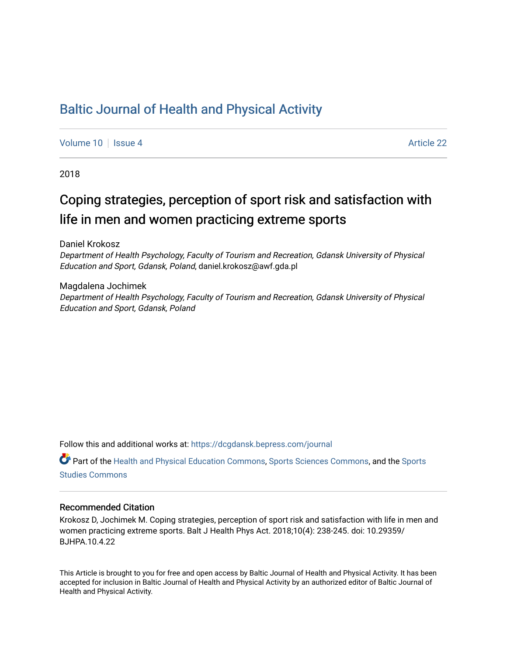# [Baltic Journal of Health and Physical Activity](https://dcgdansk.bepress.com/journal)

[Volume 10](https://dcgdansk.bepress.com/journal/vol10) | [Issue 4](https://dcgdansk.bepress.com/journal/vol10/iss4) Article 22

2018

# Coping strategies, perception of sport risk and satisfaction with life in men and women practicing extreme sports

Daniel Krokosz

Department of Health Psychology, Faculty of Tourism and Recreation, Gdansk University of Physical Education and Sport, Gdansk, Poland, daniel.krokosz@awf.gda.pl

Magdalena Jochimek Department of Health Psychology, Faculty of Tourism and Recreation, Gdansk University of Physical Education and Sport, Gdansk, Poland

Follow this and additional works at: [https://dcgdansk.bepress.com/journal](https://dcgdansk.bepress.com/journal?utm_source=dcgdansk.bepress.com%2Fjournal%2Fvol10%2Fiss4%2F22&utm_medium=PDF&utm_campaign=PDFCoverPages)

Part of the [Health and Physical Education Commons](http://network.bepress.com/hgg/discipline/1327?utm_source=dcgdansk.bepress.com%2Fjournal%2Fvol10%2Fiss4%2F22&utm_medium=PDF&utm_campaign=PDFCoverPages), [Sports Sciences Commons](http://network.bepress.com/hgg/discipline/759?utm_source=dcgdansk.bepress.com%2Fjournal%2Fvol10%2Fiss4%2F22&utm_medium=PDF&utm_campaign=PDFCoverPages), and the [Sports](http://network.bepress.com/hgg/discipline/1198?utm_source=dcgdansk.bepress.com%2Fjournal%2Fvol10%2Fiss4%2F22&utm_medium=PDF&utm_campaign=PDFCoverPages)  [Studies Commons](http://network.bepress.com/hgg/discipline/1198?utm_source=dcgdansk.bepress.com%2Fjournal%2Fvol10%2Fiss4%2F22&utm_medium=PDF&utm_campaign=PDFCoverPages) 

#### Recommended Citation

Krokosz D, Jochimek M. Coping strategies, perception of sport risk and satisfaction with life in men and women practicing extreme sports. Balt J Health Phys Act. 2018;10(4): 238-245. doi: 10.29359/ BJHPA.10.4.22

This Article is brought to you for free and open access by Baltic Journal of Health and Physical Activity. It has been accepted for inclusion in Baltic Journal of Health and Physical Activity by an authorized editor of Baltic Journal of Health and Physical Activity.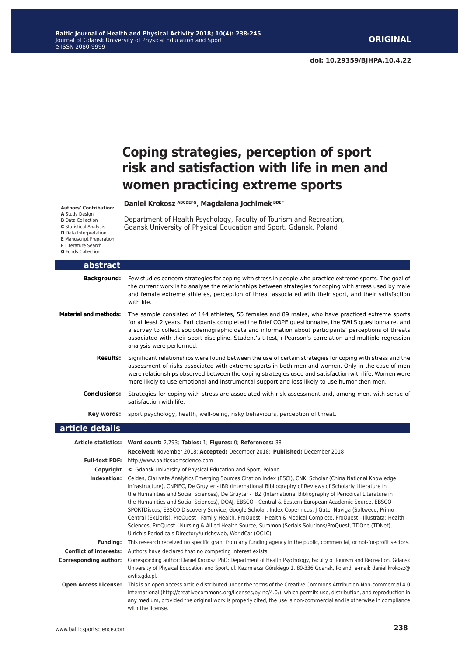# **Coping strategies, perception of sport risk and satisfaction with life in men and women practicing extreme sports**

#### **Daniel Krokosz ABCDEFG, Magdalena Jochimek BDEF Authors' Contribution:**

- **A** Study Design
- **B** Data Collection

**C** Statistical Analysis

**D** Data Interpretation

**E** Manuscript Preparation

**F** Literature Search

**G** Funds Collection

| abstract                     |                                                                                                                                                                                                                                                                                                                                                                                                                                                             |
|------------------------------|-------------------------------------------------------------------------------------------------------------------------------------------------------------------------------------------------------------------------------------------------------------------------------------------------------------------------------------------------------------------------------------------------------------------------------------------------------------|
| <b>Background:</b>           | Few studies concern strategies for coping with stress in people who practice extreme sports. The goal of<br>the current work is to analyse the relationships between strategies for coping with stress used by male<br>and female extreme athletes, perception of threat associated with their sport, and their satisfaction<br>with life.                                                                                                                  |
| <b>Material and methods:</b> | The sample consisted of 144 athletes, 55 females and 89 males, who have practiced extreme sports<br>for at least 2 years. Participants completed the Brief COPE questionnaire, the SWLS questionnaire, and<br>a survey to collect sociodemographic data and information about participants' perceptions of threats<br>associated with their sport discipline. Student's t-test, r-Pearson's correlation and multiple regression<br>analysis were performed. |
| <b>Results:</b>              | Significant relationships were found between the use of certain strategies for coping with stress and the<br>assessment of risks associated with extreme sports in both men and women. Only in the case of men<br>were relationships observed between the coping strategies used and satisfaction with life. Women were<br>more likely to use emotional and instrumental support and less likely to use humor then men.                                     |
| <b>Conclusions:</b>          | Strategies for coping with stress are associated with risk assessment and, among men, with sense of<br>satisfaction with life.                                                                                                                                                                                                                                                                                                                              |
| Kev words:                   | sport psychology, health, well-being, risky behaviours, perception of threat.                                                                                                                                                                                                                                                                                                                                                                               |
| article details              |                                                                                                                                                                                                                                                                                                                                                                                                                                                             |
|                              | Article statistics: Word count: 2,793; Tables: 1; Figures: 0; References: 38<br>Received: November 2018; Accepted: December 2018; Published: December 2018                                                                                                                                                                                                                                                                                                  |
| <b>Full-text PDF:</b>        | http://www.balticsportscience.com                                                                                                                                                                                                                                                                                                                                                                                                                           |

Department of Health Psychology, Faculty of Tourism and Recreation, Gdansk University of Physical Education and Sport, Gdansk, Poland

- **Copyright ©** Gdansk University of Physical Education and Sport, Poland
- **Indexation:** Celdes, Clarivate Analytics Emerging Sources Citation Index (ESCI), CNKI Scholar (China National Knowledge Infrastructure), CNPIEC, De Gruyter - IBR (International Bibliography of Reviews of Scholarly Literature in the Humanities and Social Sciences), De Gruyter - IBZ (International Bibliography of Periodical Literature in the Humanities and Social Sciences), DOAJ, EBSCO - Central & Eastern European Academic Source, EBSCO - SPORTDiscus, EBSCO Discovery Service, Google Scholar, Index Copernicus, J-Gate, Naviga (Softweco, Primo Central (ExLibris), ProQuest - Family Health, ProQuest - Health & Medical Complete, ProQuest - Illustrata: Health Sciences, ProQuest - Nursing & Allied Health Source, Summon (Serials Solutions/ProQuest, TDOne (TDNet), Ulrich's Periodicals Directory/ulrichsweb, WorldCat (OCLC) **Funding:** This research received no specific grant from any funding agency in the public, commercial, or not-for-profit sectors.

**Conflict of interests:** Authors have declared that no competing interest exists.

- **Corresponding author:** Corresponding author: Daniel Krokosz, PhD; Department of Health Psychology, Faculty of Tourism and Recreation, Gdansk University of Physical Education and Sport, ul. Kazimierza Górskiego 1, 80-336 Gdansk, Poland; e-mail: daniel.krokosz@ awfis.gda.pl.
- **Open Access License:** This is an open access article distributed under the terms of the Creative Commons Attribution-Non-commercial 4.0 International (http://creativecommons.org/licenses/by-nc/4.0/), which permits use, distribution, and reproduction in any medium, provided the original work is properly cited, the use is non-commercial and is otherwise in compliance with the license.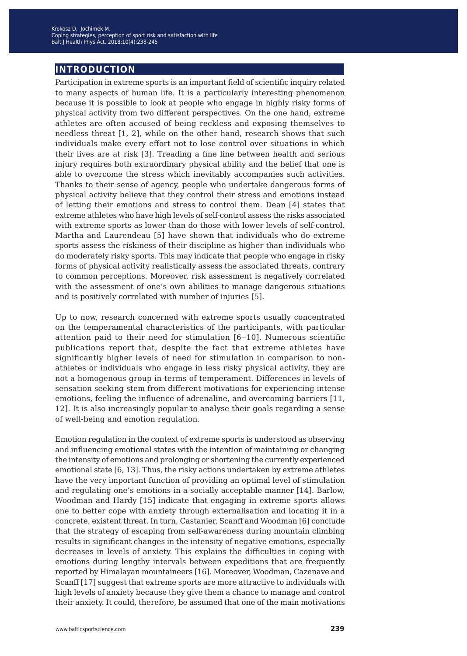## **introduction**

Participation in extreme sports is an important field of scientific inquiry related to many aspects of human life. It is a particularly interesting phenomenon because it is possible to look at people who engage in highly risky forms of physical activity from two different perspectives. On the one hand, extreme athletes are often accused of being reckless and exposing themselves to needless threat [1, 2], while on the other hand, research shows that such individuals make every effort not to lose control over situations in which their lives are at risk [3]. Treading a fine line between health and serious injury requires both extraordinary physical ability and the belief that one is able to overcome the stress which inevitably accompanies such activities. Thanks to their sense of agency, people who undertake dangerous forms of physical activity believe that they control their stress and emotions instead of letting their emotions and stress to control them. Dean [4] states that extreme athletes who have high levels of self-control assess the risks associated with extreme sports as lower than do those with lower levels of self-control. Martha and Laurendeau [5] have shown that individuals who do extreme sports assess the riskiness of their discipline as higher than individuals who do moderately risky sports. This may indicate that people who engage in risky forms of physical activity realistically assess the associated threats, contrary to common perceptions. Moreover, risk assessment is negatively correlated with the assessment of one's own abilities to manage dangerous situations and is positively correlated with number of injuries [5].

Up to now, research concerned with extreme sports usually concentrated on the temperamental characteristics of the participants, with particular attention paid to their need for stimulation [6–10]. Numerous scientific publications report that, despite the fact that extreme athletes have significantly higher levels of need for stimulation in comparison to nonathletes or individuals who engage in less risky physical activity, they are not a homogenous group in terms of temperament. Differences in levels of sensation seeking stem from different motivations for experiencing intense emotions, feeling the influence of adrenaline, and overcoming barriers [11, 12]. It is also increasingly popular to analyse their goals regarding a sense of well-being and emotion regulation.

Emotion regulation in the context of extreme sports is understood as observing and influencing emotional states with the intention of maintaining or changing the intensity of emotions and prolonging or shortening the currently experienced emotional state [6, 13]. Thus, the risky actions undertaken by extreme athletes have the very important function of providing an optimal level of stimulation and regulating one's emotions in a socially acceptable manner [14]. Barlow, Woodman and Hardy [15] indicate that engaging in extreme sports allows one to better cope with anxiety through externalisation and locating it in a concrete, existent threat. In turn, Castanier, Scanff and Woodman [6] conclude that the strategy of escaping from self-awareness during mountain climbing results in significant changes in the intensity of negative emotions, especially decreases in levels of anxiety. This explains the difficulties in coping with emotions during lengthy intervals between expeditions that are frequently reported by Himalayan mountaineers [16]. Moreover, Woodman, Cazenave and Scanff [17] suggest that extreme sports are more attractive to individuals with high levels of anxiety because they give them a chance to manage and control their anxiety. It could, therefore, be assumed that one of the main motivations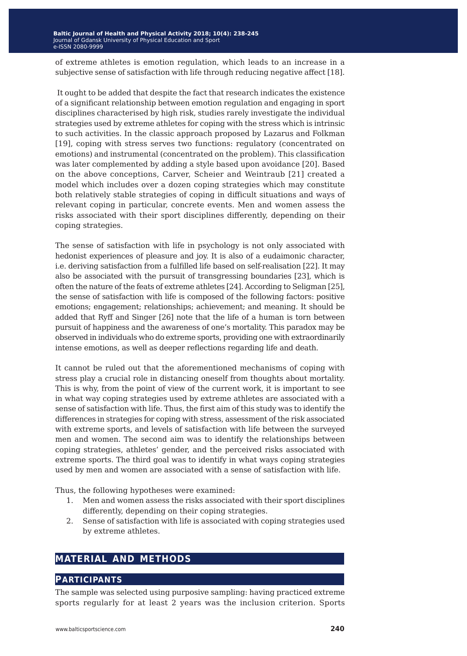of extreme athletes is emotion regulation, which leads to an increase in a subjective sense of satisfaction with life through reducing negative affect [18].

 It ought to be added that despite the fact that research indicates the existence of a significant relationship between emotion regulation and engaging in sport disciplines characterised by high risk, studies rarely investigate the individual strategies used by extreme athletes for coping with the stress which is intrinsic to such activities. In the classic approach proposed by Lazarus and Folkman [19], coping with stress serves two functions: regulatory (concentrated on emotions) and instrumental (concentrated on the problem). This classification was later complemented by adding a style based upon avoidance [20]. Based on the above conceptions, Carver, Scheier and Weintraub [21] created a model which includes over a dozen coping strategies which may constitute both relatively stable strategies of coping in difficult situations and ways of relevant coping in particular, concrete events. Men and women assess the risks associated with their sport disciplines differently, depending on their coping strategies.

The sense of satisfaction with life in psychology is not only associated with hedonist experiences of pleasure and joy. It is also of a eudaimonic character, i.e. deriving satisfaction from a fulfilled life based on self-realisation [22]. It may also be associated with the pursuit of transgressing boundaries [23], which is often the nature of the feats of extreme athletes [24]. According to Seligman [25], the sense of satisfaction with life is composed of the following factors: positive emotions; engagement; relationships; achievement; and meaning. It should be added that Ryff and Singer [26] note that the life of a human is torn between pursuit of happiness and the awareness of one's mortality. This paradox may be observed in individuals who do extreme sports, providing one with extraordinarily intense emotions, as well as deeper reflections regarding life and death.

It cannot be ruled out that the aforementioned mechanisms of coping with stress play a crucial role in distancing oneself from thoughts about mortality. This is why, from the point of view of the current work, it is important to see in what way coping strategies used by extreme athletes are associated with a sense of satisfaction with life. Thus, the first aim of this study was to identify the differences in strategies for coping with stress, assessment of the risk associated with extreme sports, and levels of satisfaction with life between the surveyed men and women. The second aim was to identify the relationships between coping strategies, athletes' gender, and the perceived risks associated with extreme sports. The third goal was to identify in what ways coping strategies used by men and women are associated with a sense of satisfaction with life.

Thus, the following hypotheses were examined:

- 1. Men and women assess the risks associated with their sport disciplines differently, depending on their coping strategies.
- 2. Sense of satisfaction with life is associated with coping strategies used by extreme athletes.

## **material and methods**

#### **participants**

The sample was selected using purposive sampling: having practiced extreme sports regularly for at least 2 years was the inclusion criterion. Sports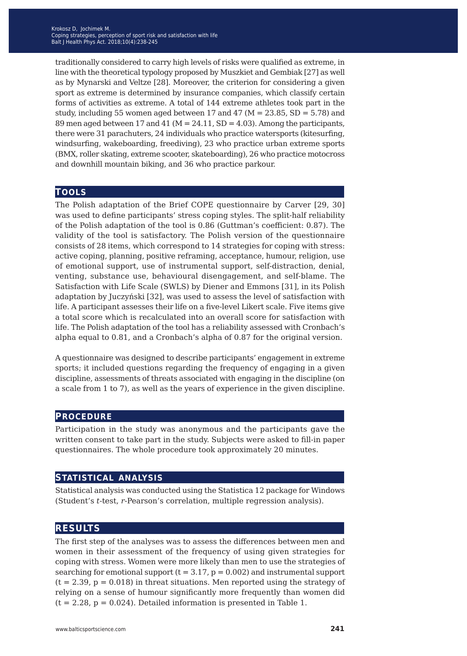traditionally considered to carry high levels of risks were qualified as extreme, in line with the theoretical typology proposed by Muszkiet and Gembiak [27] as well as by Mynarski and Veltze [28]. Moreover, the criterion for considering a given sport as extreme is determined by insurance companies, which classify certain forms of activities as extreme. A total of 144 extreme athletes took part in the study, including 55 women aged between 17 and 47 ( $M = 23.85$ , SD = 5.78) and 89 men aged between 17 and 41 ( $M = 24.11$ , SD = 4.03). Among the participants, there were 31 parachuters, 24 individuals who practice watersports (kitesurfing, windsurfing, wakeboarding, freediving), 23 who practice urban extreme sports (BMX, roller skating, extreme scooter, skateboarding), 26 who practice motocross and downhill mountain biking, and 36 who practice parkour.

#### **tools**

The Polish adaptation of the Brief COPE questionnaire by Carver [29, 30] was used to define participants' stress coping styles. The split-half reliability of the Polish adaptation of the tool is 0.86 (Guttman's coefficient: 0.87). The validity of the tool is satisfactory. The Polish version of the questionnaire consists of 28 items, which correspond to 14 strategies for coping with stress: active coping, planning, positive reframing, acceptance, humour, religion, use of emotional support, use of instrumental support, self-distraction, denial, venting, substance use, behavioural disengagement, and self-blame. The Satisfaction with Life Scale (SWLS) by Diener and Emmons [31], in its Polish adaptation by Juczyński [32], was used to assess the level of satisfaction with life. A participant assesses their life on a five-level Likert scale. Five items give a total score which is recalculated into an overall score for satisfaction with life. The Polish adaptation of the tool has a reliability assessed with Cronbach's alpha equal to 0.81, and a Cronbach's alpha of 0.87 for the original version.

A questionnaire was designed to describe participants' engagement in extreme sports; it included questions regarding the frequency of engaging in a given discipline, assessments of threats associated with engaging in the discipline (on a scale from 1 to 7), as well as the years of experience in the given discipline.

### **procedure**

Participation in the study was anonymous and the participants gave the written consent to take part in the study. Subjects were asked to fill-in paper questionnaires. The whole procedure took approximately 20 minutes.

### **statistical analysis**

Statistical analysis was conducted using the Statistica 12 package for Windows (Student's *t*-test, *r*-Pearson's correlation, multiple regression analysis).

### **results**

The first step of the analyses was to assess the differences between men and women in their assessment of the frequency of using given strategies for coping with stress. Women were more likely than men to use the strategies of searching for emotional support  $(t = 3.17, p = 0.002)$  and instrumental support  $(t = 2.39, p = 0.018)$  in threat situations. Men reported using the strategy of relying on a sense of humour significantly more frequently than women did  $(t = 2.28, p = 0.024)$ . Detailed information is presented in Table 1.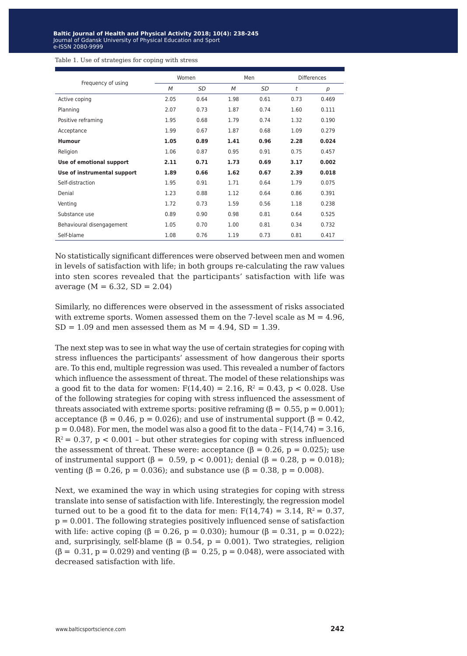Table 1. Use of strategies for coping with stress

|                             | Women |      | Men  |      | <b>Differences</b> |       |
|-----------------------------|-------|------|------|------|--------------------|-------|
| Frequency of using          | M     | SD   | M    | SD   | t                  | p     |
| Active coping               | 2.05  | 0.64 | 1.98 | 0.61 | 0.73               | 0.469 |
| Planning                    | 2.07  | 0.73 | 1.87 | 0.74 | 1.60               | 0.111 |
| Positive reframing          | 1.95  | 0.68 | 1.79 | 0.74 | 1.32               | 0.190 |
| Acceptance                  | 1.99  | 0.67 | 1.87 | 0.68 | 1.09               | 0.279 |
| <b>Humour</b>               | 1.05  | 0.89 | 1.41 | 0.96 | 2.28               | 0.024 |
| Religion                    | 1.06  | 0.87 | 0.95 | 0.91 | 0.75               | 0.457 |
| Use of emotional support    | 2.11  | 0.71 | 1.73 | 0.69 | 3.17               | 0.002 |
| Use of instrumental support | 1.89  | 0.66 | 1.62 | 0.67 | 2.39               | 0.018 |
| Self-distraction            | 1.95  | 0.91 | 1.71 | 0.64 | 1.79               | 0.075 |
| Denial                      | 1.23  | 0.88 | 1.12 | 0.64 | 0.86               | 0.391 |
| Venting                     | 1.72  | 0.73 | 1.59 | 0.56 | 1.18               | 0.238 |
| Substance use               | 0.89  | 0.90 | 0.98 | 0.81 | 0.64               | 0.525 |
| Behavioural disengagement   | 1.05  | 0.70 | 1.00 | 0.81 | 0.34               | 0.732 |
| Self-blame                  | 1.08  | 0.76 | 1.19 | 0.73 | 0.81               | 0.417 |

No statistically significant differences were observed between men and women in levels of satisfaction with life; in both groups re-calculating the raw values into sten scores revealed that the participants' satisfaction with life was average  $(M = 6.32, SD = 2.04)$ 

Similarly, no differences were observed in the assessment of risks associated with extreme sports. Women assessed them on the 7-level scale as  $M = 4.96$ ,  $SD = 1.09$  and men assessed them as  $M = 4.94$ ,  $SD = 1.39$ .

The next step was to see in what way the use of certain strategies for coping with stress influences the participants' assessment of how dangerous their sports are. To this end, multiple regression was used. This revealed a number of factors which influence the assessment of threat. The model of these relationships was a good fit to the data for women:  $F(14,40) = 2.16$ ,  $R^2 = 0.43$ ,  $p < 0.028$ . Use of the following strategies for coping with stress influenced the assessment of threats associated with extreme sports: positive reframing ( $\beta = 0.55$ ,  $p = 0.001$ ); acceptance (β = 0.46, p = 0.026); and use of instrumental support (β = 0.42,  $p = 0.048$ . For men, the model was also a good fit to the data  $- F(14,74) = 3.16$ ,  $R^2 = 0.37$ , p < 0.001 – but other strategies for coping with stress influenced the assessment of threat. These were: acceptance (β = 0.26, p = 0.025); use of instrumental support (β = 0.59, p < 0.001); denial (β = 0.28, p = 0.018); venting (β = 0.26, p = 0.036); and substance use (β = 0.38, p = 0.008).

Next, we examined the way in which using strategies for coping with stress translate into sense of satisfaction with life. Interestingly, the regression model turned out to be a good fit to the data for men:  $F(14,74) = 3.14$ ,  $R^2 = 0.37$ ,  $p = 0.001$ . The following strategies positively influenced sense of satisfaction with life: active coping (β = 0.26, p = 0.030); humour (β = 0.31, p = 0.022); and, surprisingly, self-blame ( $\beta = 0.54$ ,  $p = 0.001$ ). Two strategies, religion ( $\beta = 0.31$ ,  $p = 0.029$ ) and venting ( $\beta = 0.25$ ,  $p = 0.048$ ), were associated with decreased satisfaction with life.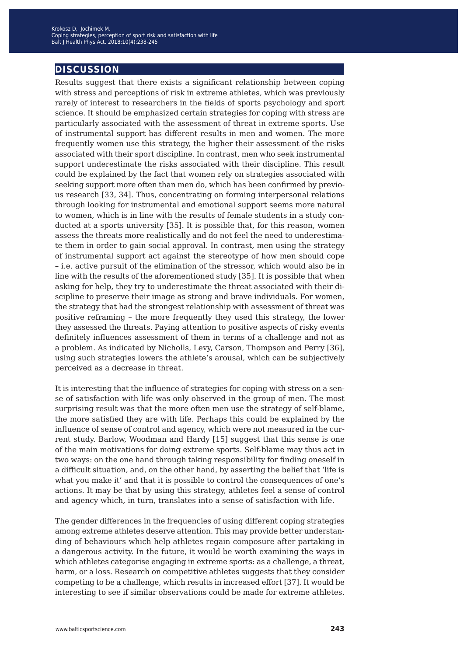## **discussion**

Results suggest that there exists a significant relationship between coping with stress and perceptions of risk in extreme athletes, which was previously rarely of interest to researchers in the fields of sports psychology and sport science. It should be emphasized certain strategies for coping with stress are particularly associated with the assessment of threat in extreme sports. Use of instrumental support has different results in men and women. The more frequently women use this strategy, the higher their assessment of the risks associated with their sport discipline. In contrast, men who seek instrumental support underestimate the risks associated with their discipline. This result could be explained by the fact that women rely on strategies associated with seeking support more often than men do, which has been confirmed by previous research [33, 34]. Thus, concentrating on forming interpersonal relations through looking for instrumental and emotional support seems more natural to women, which is in line with the results of female students in a study conducted at a sports university [35]. It is possible that, for this reason, women assess the threats more realistically and do not feel the need to underestimate them in order to gain social approval. In contrast, men using the strategy of instrumental support act against the stereotype of how men should cope – i.e. active pursuit of the elimination of the stressor, which would also be in line with the results of the aforementioned study [35]. It is possible that when asking for help, they try to underestimate the threat associated with their discipline to preserve their image as strong and brave individuals. For women, the strategy that had the strongest relationship with assessment of threat was positive reframing – the more frequently they used this strategy, the lower they assessed the threats. Paying attention to positive aspects of risky events definitely influences assessment of them in terms of a challenge and not as a problem. As indicated by Nicholls, Levy, Carson, Thompson and Perry [36], using such strategies lowers the athlete's arousal, which can be subjectively perceived as a decrease in threat.

It is interesting that the influence of strategies for coping with stress on a sense of satisfaction with life was only observed in the group of men. The most surprising result was that the more often men use the strategy of self-blame, the more satisfied they are with life. Perhaps this could be explained by the influence of sense of control and agency, which were not measured in the current study. Barlow, Woodman and Hardy [15] suggest that this sense is one of the main motivations for doing extreme sports. Self-blame may thus act in two ways: on the one hand through taking responsibility for finding oneself in a difficult situation, and, on the other hand, by asserting the belief that 'life is what you make it' and that it is possible to control the consequences of one's actions. It may be that by using this strategy, athletes feel a sense of control and agency which, in turn, translates into a sense of satisfaction with life.

The gender differences in the frequencies of using different coping strategies among extreme athletes deserve attention. This may provide better understanding of behaviours which help athletes regain composure after partaking in a dangerous activity. In the future, it would be worth examining the ways in which athletes categorise engaging in extreme sports: as a challenge, a threat, harm, or a loss. Research on competitive athletes suggests that they consider competing to be a challenge, which results in increased effort [37]. It would be interesting to see if similar observations could be made for extreme athletes.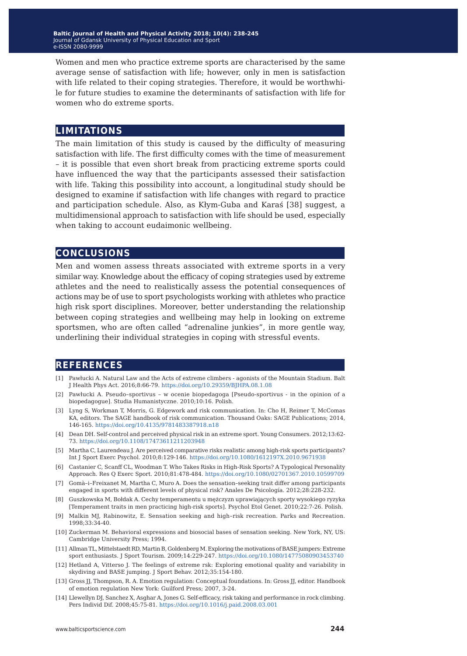Women and men who practice extreme sports are characterised by the same average sense of satisfaction with life; however, only in men is satisfaction with life related to their coping strategies. Therefore, it would be worthwhile for future studies to examine the determinants of satisfaction with life for women who do extreme sports.

### **limitations**

The main limitation of this study is caused by the difficulty of measuring satisfaction with life. The first difficulty comes with the time of measurement – it is possible that even short break from practicing extreme sports could have influenced the way that the participants assessed their satisfaction with life. Taking this possibility into account, a longitudinal study should be designed to examine if satisfaction with life changes with regard to practice and participation schedule. Also, as Kłym-Guba and Karaś [38] suggest, a multidimensional approach to satisfaction with life should be used, especially when taking to account eudaimonic wellbeing.

### **conclusions**

Men and women assess threats associated with extreme sports in a very similar way. Knowledge about the efficacy of coping strategies used by extreme athletes and the need to realistically assess the potential consequences of actions may be of use to sport psychologists working with athletes who practice high risk sport disciplines. Moreover, better understanding the relationship between coping strategies and wellbeing may help in looking on extreme sportsmen, who are often called "adrenaline junkies", in more gentle way, underlining their individual strategies in coping with stressful events.

### **references**

- [1] Pawłucki A. Natural Law and the Acts of extreme climbers agonists of the Mountain Stadium. Balt J Health Phys Act. 2016;8:66-79. <https://doi.org/10.29359/BJHPA.08.1.08>
- [2] Pawłucki A. Pseudo–sportivus w ocenie biopedagoga [Pseudo-sportivus in the opinion of a biopedagogue]. Studia Humanistyczne. 2010;10:16. Polish.
- [3] Lyng S, Workman T, Morris, G. Edgework and risk communication. In: Cho H, Reimer T, McComas KA, editors. The SAGE handbook of risk communication. Thousand Oaks: SAGE Publications; 2014, 146-165.<https://doi.org/10.4135/9781483387918.n18>
- [4] Dean DH. Self‐control and perceived physical risk in an extreme sport. Young Consumers. 2012;13:62- 73.<https://doi.org/10.1108/17473611211203948>
- [5] Martha C, Laurendeau J. Are perceived comparative risks realistic among high‐risk sports participants? Int J Sport Exerc Psychol. 2010;8:129-146. <https://doi.org/10.1080/1612197X.2010.9671938>
- [6] Castanier C, Scanff CL, Woodman T. Who Takes Risks in High-Risk Sports? A Typological Personality Approach. Res Q Exerc Sport. 2010;81:478-484.<https://doi.org/10.1080/02701367.2010.10599709>
- [7] Gomà–i–Freixanet M, Martha C, Muro A. Does the sensation–seeking trait differ among participants engaged in sports with different levels of physical risk? Anales De Psicología. 2012;28:228-232.
- [8] Guszkowska M, Bołdak A. Cechy temperamentu u mężczyzn uprawiających sporty wysokiego ryzyka [Temperament traits in men practicing high-risk sports]. Psychol Etol Genet. 2010;22:7-26. Polish.
- [9] Malkin MJ, Rabinowitz, E. Sensation seeking and high–risk recreation. Parks and Recreation. 1998;33:34-40.
- [10] Zuckerman M. Behavioral expressions and biosocial bases of sensation seeking. New York, NY, US: Cambridge University Press; 1994.
- [11] Allman TL, Mittelstaedt RD, Martin B, Goldenberg M. Exploring the motivations of BASE jumpers: Extreme sport enthusiasts. J Sport Tourism. 2009;14:229-247.<https://doi.org/10.1080/14775080903453740>
- [12] Hetland A, Vitterso J. The feelings of extreme rsk: Exploring emotional quality and variability in skydiving and BASE jumping. J Sport Behav. 2012;35:154-180.
- [13] Gross JJ, Thompson, R. A. Emotion regulation: Conceptual foundations. In: Gross JJ, editor. Handbook of emotion regulation New York: Guilford Press; 2007, 3-24.
- [14] Llewellyn DJ, Sanchez X, Asghar A, Jones G. Self-efficacy, risk taking and performance in rock climbing. Pers Individ Dif. 2008;45:75-81.<https://doi.org/10.1016/j.paid.2008.03.001>